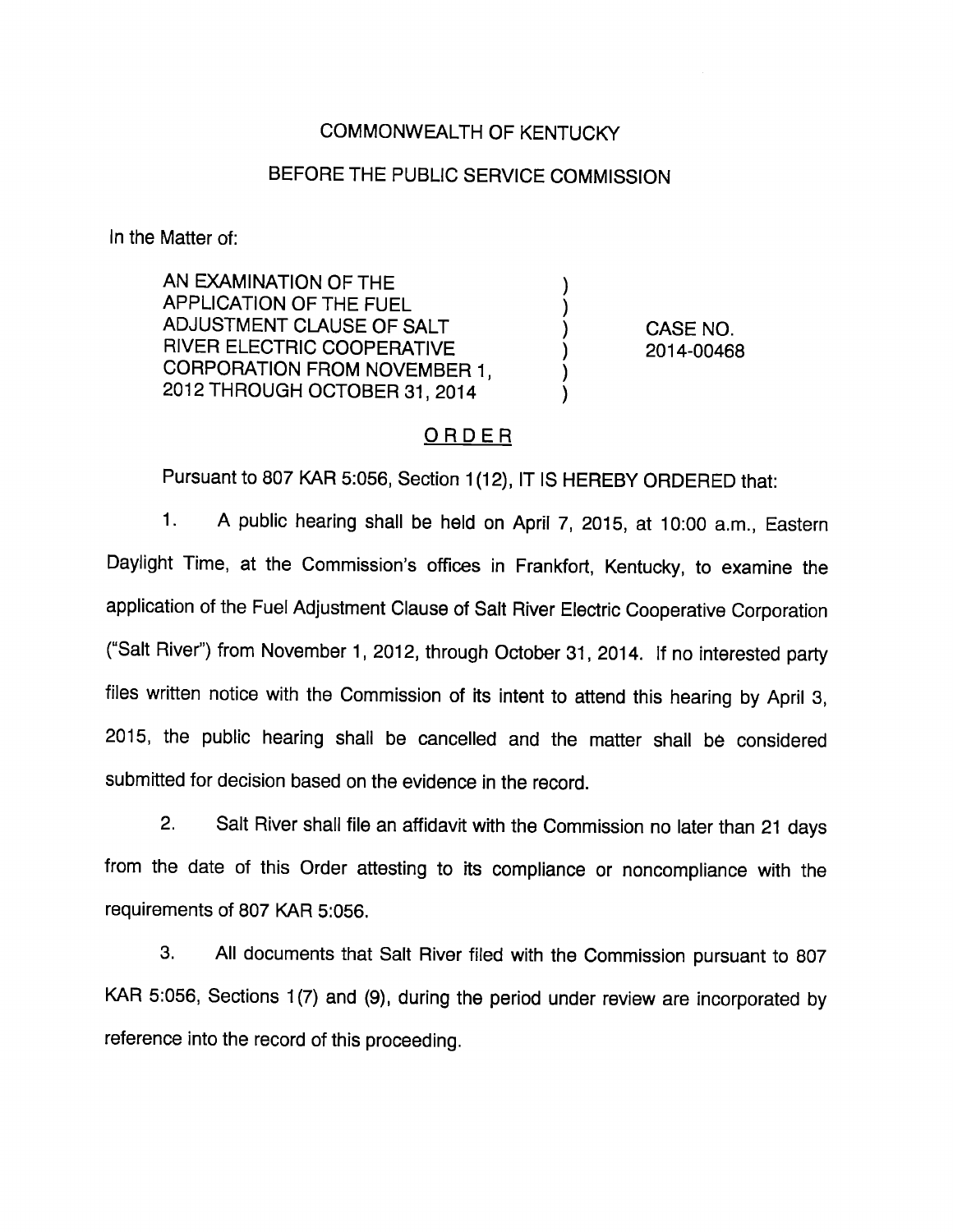## COMMONWEALTH OF KENTUCKY

## BEFORE THE PUBLIC SERVICE COMMISSION

In the Matter of:

AN EXAMINATION OF THE APPLICATION OF THE FUEL ADJUSTMENT CLAUSE OF SALT RIVER ELECTRIC COOPERATIVE CORPORATION FROM NOVEMBER 1, 2012 THROUGH OCTOBER 31, 2014

CASE NO. 2014-00468

### ORDER

Pursuant to 807 KAR 5:056, Section 1(12), IT IS HEREBY ORDERED that:

1. A public hearing shall be held on April 7, 2015, at 10:00 a.m.. Eastern Daylight Time, at the Commission's offices in Frankfort, Kentucky, to examine the application of the Fuel Adjustment Clause of Salt River Electric Cooperative Corporation ("Salt River") from November 1, 2012, through October 31, 2014. If no interested party files written notice with the Commission of its intent to attend this hearing by April 3, 2015, the public hearing shall be cancelled and the matter shall be considered submitted for decision based on the evidence in the record.

2. Salt River shall file an affidavit with the Commission no later than 21 days from the date of this Order attesting to its compliance or noncompliance with the requirements of 807 KAR 5:056.

3. All documents that Salt River filed with the Commission pursuant to 807 KAR 5:056, Sections 1(7) and (9), during the period under review are incorporated by reference into the record of this proceeding.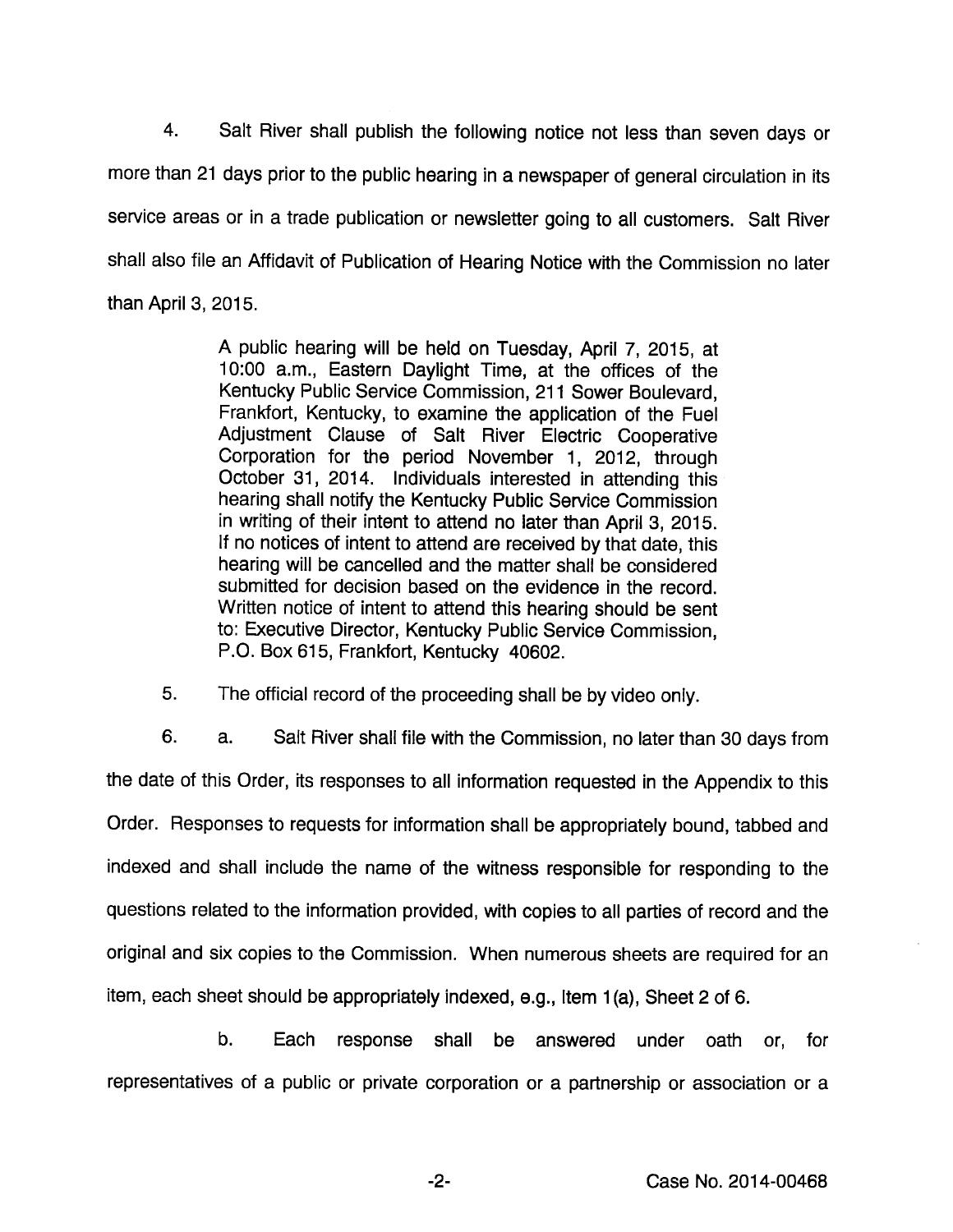4. Salt River shall publish the following notice not less than seven days or more than 21 days prior to the public hearing in a newspaper of general circulation in its service areas or in a trade publication or newsletter going to all customers. Salt River shall also file an Affidavit of Publication of Hearing Notice with the Commission no later than April 3, 2015.

> A public hearing will be held on Tuesday, April 7, 2015, at 10:00 a.m.. Eastern Daylight Time, at the offices of the Kentucky Public Service Commission, 211 Sower Boulevard, Frankfort, Kentucky, to examine the application of the Fuel Adjustment Clause of Salt River Electric Cooperative Corporation for the period November 1, 2012, through October 31, 2014. Individuals interested in attending this hearing shall notify the Kentucky Public Service Commission in writing of their intent to attend no later than April 3, 2015. If no notices of intent to attend are received by that date, this hearing will be cancelled and the matter shall be considered submitted for decision based on the evidence in the record. Written notice of intent to attend this hearing should be sent to: Executive Director, Kentucky Public Service Commission, P.O. Box 615, Frankfort, Kentucky 40602.

5. The official record of the proceeding shall be by video only.

6. a. Salt River shall file with the Commission, no later than 30 days from the date of this Order, its responses to all information requested in the Appendix to this Order. Responses to requests for information shall be appropriately bound, tabbed and indexed and shall include the name of the witness responsible for responding to the questions related to the information provided, with copies to all parties of record and the original and six copies to the Commission. When numerous sheets are required for an item, each sheet should be appropriately indexed, e.g.. Item 1(a). Sheet 2 of 6.

b. Each response shall be answered under oath or, for representatives of a public or private corporation or a partnership or association or a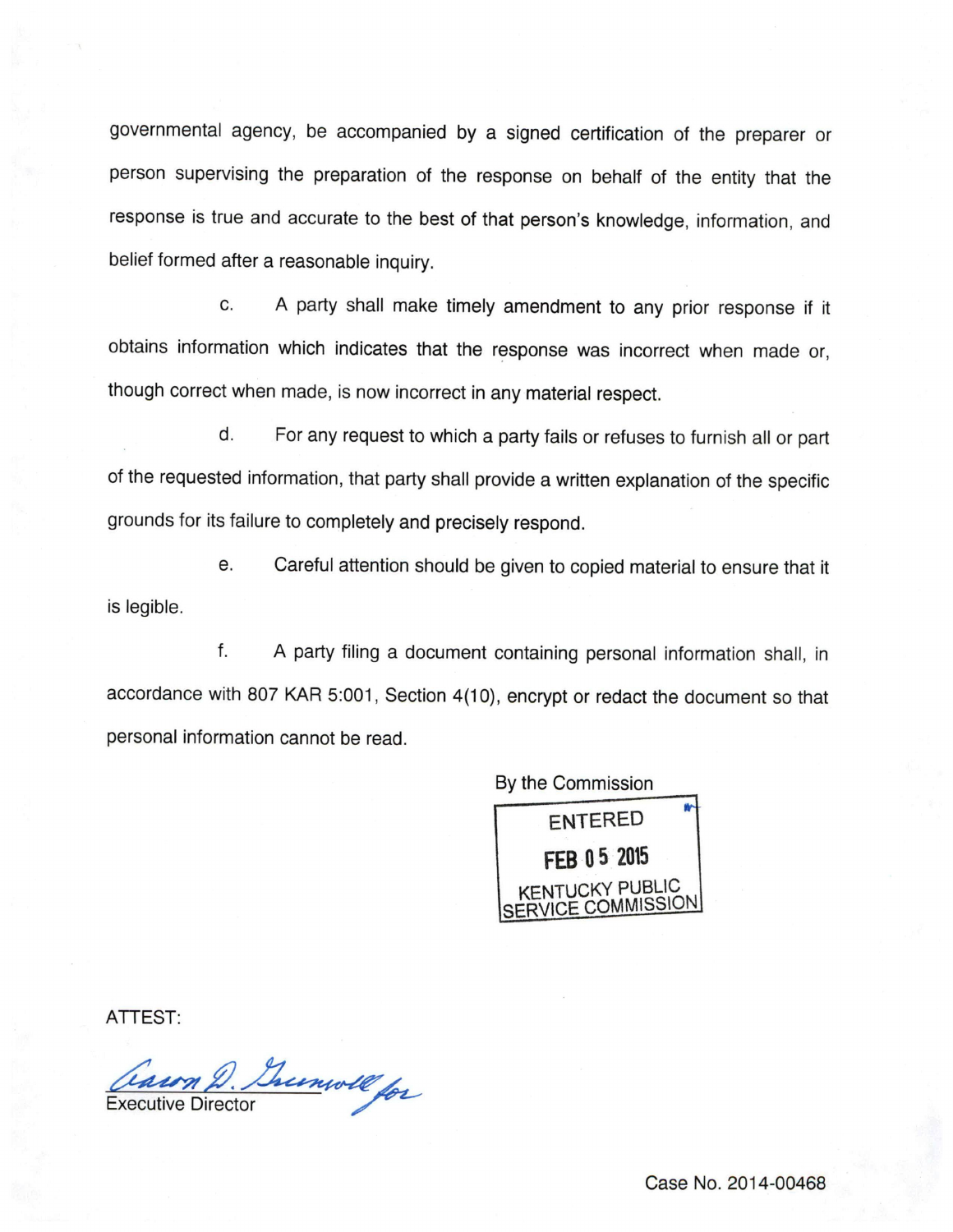governmental agency, be accompanied by a signed certification of the preparer or person supervising the preparation of the response on behalf of the entity that the response is true and accurate to the best of that person's knowledge, information, and belief formed after a reasonable inquiry.

c. A party shall make timely amendment to any prior response if it obtains information which indicates that the response was incorrect when made or, though correct when made, is now incorrect in any material respect.

d. For any request to which a party fails or refuses to furnish all or part of the requested information, that party shall provide a written explanation of the specific grounds for its failure to completely and precisely respond.

e. Careful attention should be given to copied material to ensure that it is legible.

f. A party filing a document containing personal information shall, in accordance with 807 KAR 5:001, Section 4(10), encrypt or redact the document so that personal information cannot be read.

By the Commission



ATTEST:

Caun D. Grunwell for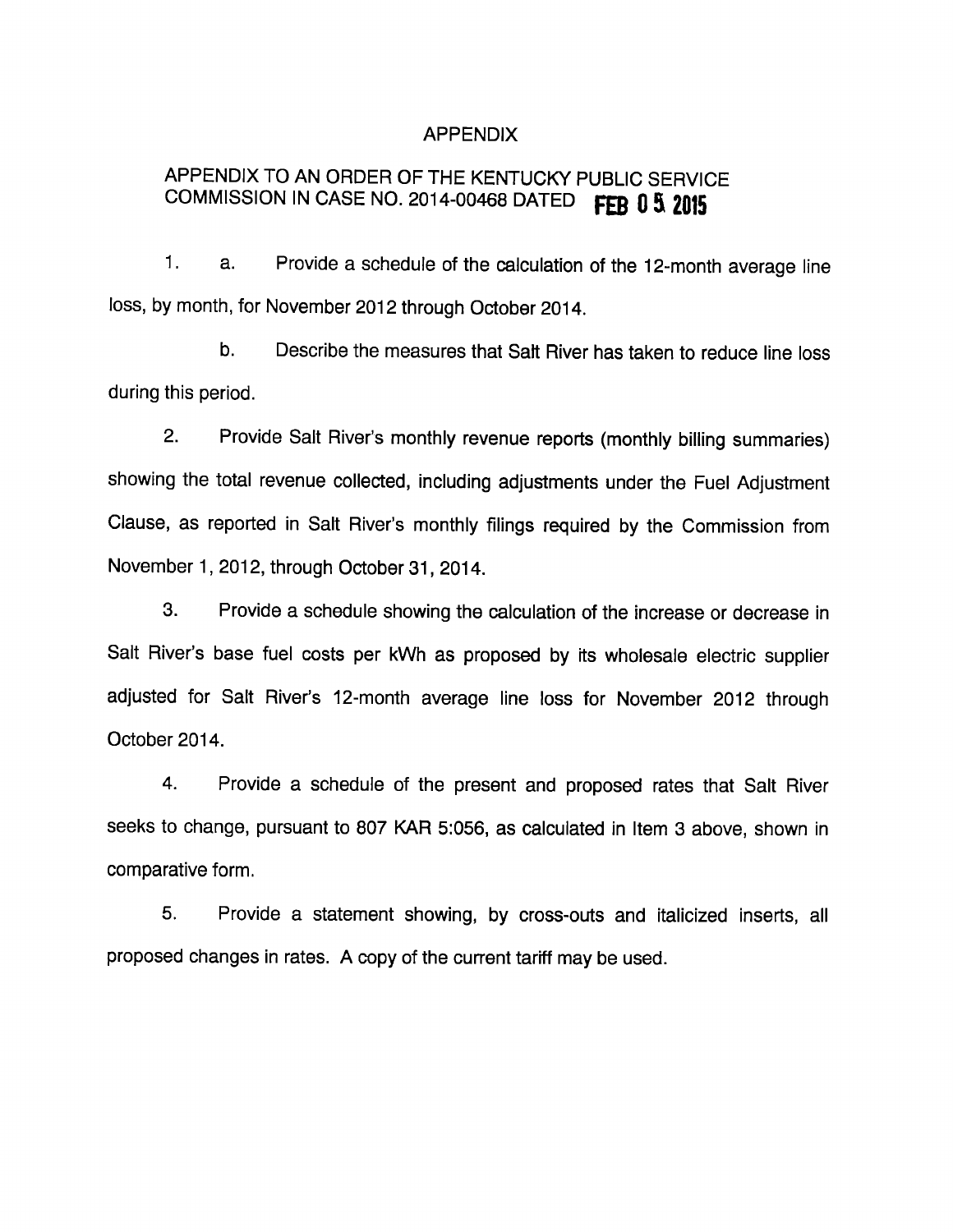#### APPENDIX

# APPENDIX TO AN ORDER OF THE KENTUCKY PUBLIC SERVICE COMMISSION IN CASE NO. 2014-00468 DATED FEB  $0.5$  2015

1. a. Provide a schedule of the calculation of the 12-month average line loss, by month, for November 2012 through October 2014.

b. Describe the measures that Salt River has taken to reduce line loss during this period.

2. Provide Salt River's monthly revenue reports (monthly billing summaries) showing the total revenue collected, including adjustments under the Fuel Adjustment Clause, as reported in Salt River's monthly filings required by the Commission from November 1, 2012, through October 31, 2014.

3. Provide a schedule showing the calculation of the increase or decrease in Salt River's base fuel costs per kWh as proposed by its wholesale electric supplier adjusted for Salt River's 12-month average line loss for November 2012 through October 2014.

4. Provide a schedule of the present and proposed rates that Salt River seeks to change, pursuant to 807 KAR 5:056, as calculated in Item 3 above, shown in comparative form.

5. Provide a statement showing, by cross-outs and italicized inserts, all proposed changes in rates. A copy of the current tariff may be used.